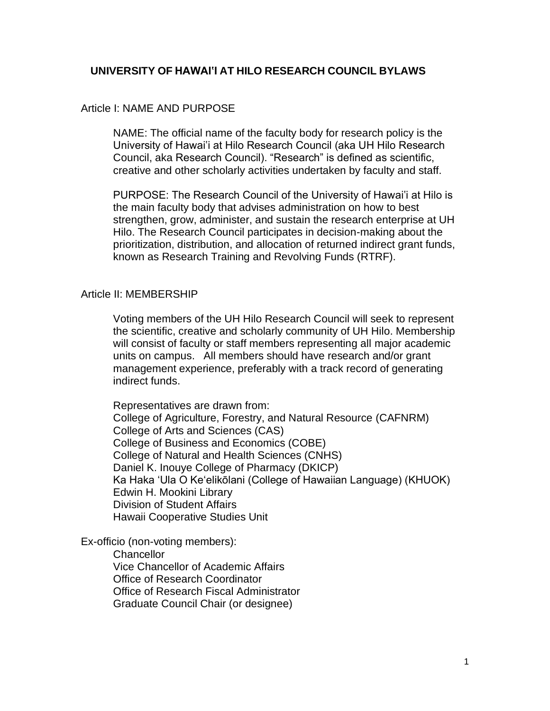# **UNIVERSITY OF HAWAI'I AT HILO RESEARCH COUNCIL BYLAWS**

### Article I: NAME AND PURPOSE

NAME: The official name of the faculty body for research policy is the University of Hawai'i at Hilo Research Council (aka UH Hilo Research Council, aka Research Council). "Research" is defined as scientific, creative and other scholarly activities undertaken by faculty and staff.

PURPOSE: The Research Council of the University of Hawai'i at Hilo is the main faculty body that advises administration on how to best strengthen, grow, administer, and sustain the research enterprise at UH Hilo. The Research Council participates in decision-making about the prioritization, distribution, and allocation of returned indirect grant funds, known as Research Training and Revolving Funds (RTRF).

#### Article II: MEMBERSHIP

Voting members of the UH Hilo Research Council will seek to represent the scientific, creative and scholarly community of UH Hilo. Membership will consist of faculty or staff members representing all major academic units on campus. All members should have research and/or grant management experience, preferably with a track record of generating indirect funds.

Representatives are drawn from: College of Agriculture, Forestry, and Natural Resource (CAFNRM) College of Arts and Sciences (CAS) College of Business and Economics (COBE) College of Natural and Health Sciences (CNHS) Daniel K. Inouye College of Pharmacy (DKICP) Ka Haka ʻUla O Keʻelikōlani (College of Hawaiian Language) (KHUOK) Edwin H. Mookini Library Division of Student Affairs Hawaii Cooperative Studies Unit

Ex-officio (non-voting members):

**Chancellor** Vice Chancellor of Academic Affairs Office of Research Coordinator Office of Research Fiscal Administrator Graduate Council Chair (or designee)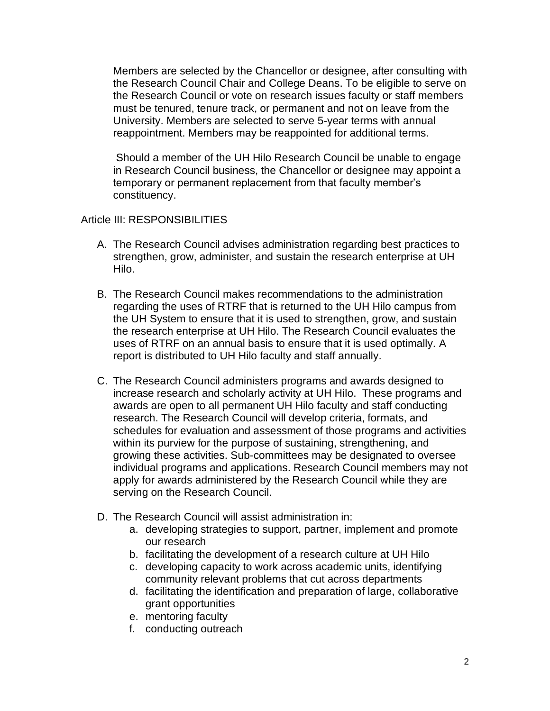Members are selected by the Chancellor or designee, after consulting with the Research Council Chair and College Deans. To be eligible to serve on the Research Council or vote on research issues faculty or staff members must be tenured, tenure track, or permanent and not on leave from the University. Members are selected to serve 5-year terms with annual reappointment. Members may be reappointed for additional terms.

Should a member of the UH Hilo Research Council be unable to engage in Research Council business, the Chancellor or designee may appoint a temporary or permanent replacement from that faculty member's constituency.

## Article III: RESPONSIBILITIES

- A. The Research Council advises administration regarding best practices to strengthen, grow, administer, and sustain the research enterprise at UH Hilo.
- B. The Research Council makes recommendations to the administration regarding the uses of RTRF that is returned to the UH Hilo campus from the UH System to ensure that it is used to strengthen, grow, and sustain the research enterprise at UH Hilo. The Research Council evaluates the uses of RTRF on an annual basis to ensure that it is used optimally. A report is distributed to UH Hilo faculty and staff annually.
- C. The Research Council administers programs and awards designed to increase research and scholarly activity at UH Hilo. These programs and awards are open to all permanent UH Hilo faculty and staff conducting research. The Research Council will develop criteria, formats, and schedules for evaluation and assessment of those programs and activities within its purview for the purpose of sustaining, strengthening, and growing these activities. Sub-committees may be designated to oversee individual programs and applications. Research Council members may not apply for awards administered by the Research Council while they are serving on the Research Council.
- D. The Research Council will assist administration in:
	- a. developing strategies to support, partner, implement and promote our research
	- b. facilitating the development of a research culture at UH Hilo
	- c. developing capacity to work across academic units, identifying community relevant problems that cut across departments
	- d. facilitating the identification and preparation of large, collaborative grant opportunities
	- e. mentoring faculty
	- f. conducting outreach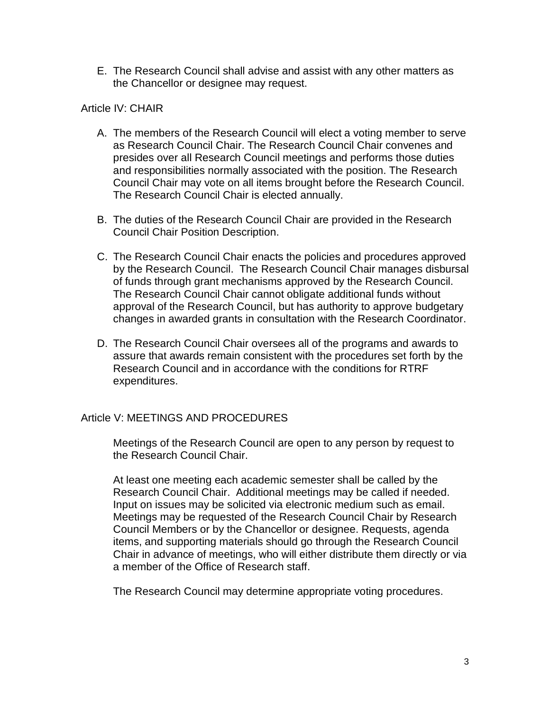E. The Research Council shall advise and assist with any other matters as the Chancellor or designee may request.

# Article IV: CHAIR

- A. The members of the Research Council will elect a voting member to serve as Research Council Chair. The Research Council Chair convenes and presides over all Research Council meetings and performs those duties and responsibilities normally associated with the position. The Research Council Chair may vote on all items brought before the Research Council. The Research Council Chair is elected annually.
- B. The duties of the Research Council Chair are provided in the Research Council Chair Position Description.
- C. The Research Council Chair enacts the policies and procedures approved by the Research Council. The Research Council Chair manages disbursal of funds through grant mechanisms approved by the Research Council. The Research Council Chair cannot obligate additional funds without approval of the Research Council, but has authority to approve budgetary changes in awarded grants in consultation with the Research Coordinator.
- D. The Research Council Chair oversees all of the programs and awards to assure that awards remain consistent with the procedures set forth by the Research Council and in accordance with the conditions for RTRF expenditures.

# Article V: MEETINGS AND PROCEDURES

Meetings of the Research Council are open to any person by request to the Research Council Chair.

At least one meeting each academic semester shall be called by the Research Council Chair. Additional meetings may be called if needed. Input on issues may be solicited via electronic medium such as email. Meetings may be requested of the Research Council Chair by Research Council Members or by the Chancellor or designee. Requests, agenda items, and supporting materials should go through the Research Council Chair in advance of meetings, who will either distribute them directly or via a member of the Office of Research staff.

The Research Council may determine appropriate voting procedures.